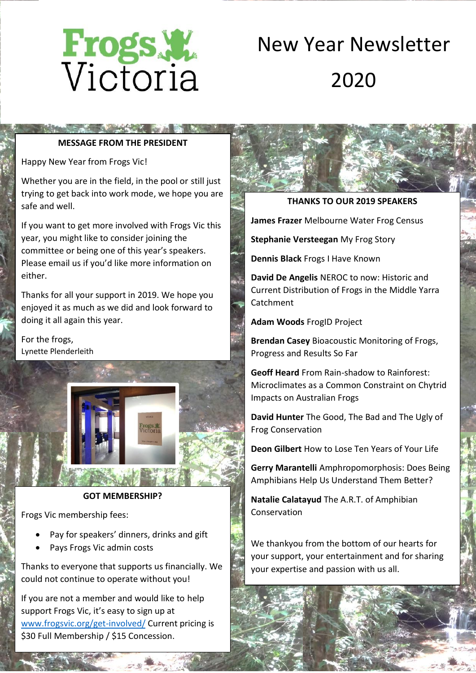

# New Year Newsletter 2020

## **MESSAGE FROM THE PRESIDENT**

Happy New Year from Frogs Vic!

Whether you are in the field, in the pool or still just trying to get back into work mode, we hope you are safe and well.

If you want to get more involved with Frogs Vic this year, you might like to consider joining the committee or being one of this year's speakers. Please email us if you'd like more information on either.

Thanks for all your support in 2019. We hope you enjoyed it as much as we did and look forward to doing it all again this year.

For the frogs, Lynette Plenderleith



**GOT MEMBERSHIP?**

Frogs Vic membership fees:

- Pay for speakers' dinners, drinks and gift
- Pays Frogs Vic admin costs

Thanks to everyone that supports us financially. We could not continue to operate without you!

If you are not a member and would like to help support Frogs Vic, it's easy to sign up at [www.frogsvic.org/get-involved/](http://www.frogsvic.org/get-involved/) Current pricing is \$30 Full Membership / \$15 Concession.



#### **THANKS TO OUR 2019 SPEAKERS**

**James Frazer** Melbourne Water Frog Census

**Stephanie Versteegan** My Frog Story

**Dennis Black** Frogs I Have Known

**David De Angelis** NEROC to now: Historic and Current Distribution of Frogs in the Middle Yarra Catchment

**Adam Woods** FrogID Project

**Brendan Casey** Bioacoustic Monitoring of Frogs, Progress and Results So Far

**Geoff Heard** From Rain-shadow to Rainforest: Microclimates as a Common Constraint on Chytrid Impacts on Australian Frogs

**David Hunter** The Good, The Bad and The Ugly of Frog Conservation

**Deon Gilbert** How to Lose Ten Years of Your Life

**Gerry Marantelli** Amphropomorphosis: Does Being Amphibians Help Us Understand Them Better?

**Natalie Calatayud** The A.R.T. of Amphibian Conservation

We thankyou from the bottom of our hearts for your support, your entertainment and for sharing your expertise and passion with us all.